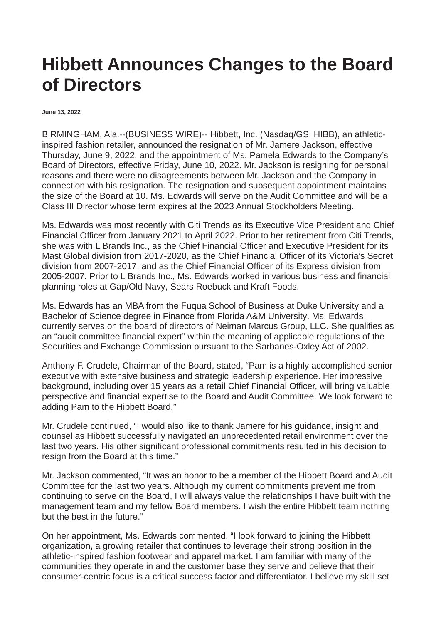## **Hibbett Announces Changes to the Board of Directors**

**June 13, 2022**

BIRMINGHAM, Ala.--(BUSINESS WIRE)-- Hibbett, Inc. (Nasdaq/GS: HIBB), an athleticinspired fashion retailer, announced the resignation of Mr. Jamere Jackson, effective Thursday, June 9, 2022, and the appointment of Ms. Pamela Edwards to the Company's Board of Directors, effective Friday, June 10, 2022. Mr. Jackson is resigning for personal reasons and there were no disagreements between Mr. Jackson and the Company in connection with his resignation. The resignation and subsequent appointment maintains the size of the Board at 10. Ms. Edwards will serve on the Audit Committee and will be a Class III Director whose term expires at the 2023 Annual Stockholders Meeting.

Ms. Edwards was most recently with Citi Trends as its Executive Vice President and Chief Financial Officer from January 2021 to April 2022. Prior to her retirement from Citi Trends, she was with L Brands Inc., as the Chief Financial Officer and Executive President for its Mast Global division from 2017-2020, as the Chief Financial Officer of its Victoria's Secret division from 2007-2017, and as the Chief Financial Officer of its Express division from 2005-2007. Prior to L Brands Inc., Ms. Edwards worked in various business and financial planning roles at Gap/Old Navy, Sears Roebuck and Kraft Foods.

Ms. Edwards has an MBA from the Fuqua School of Business at Duke University and a Bachelor of Science degree in Finance from Florida A&M University. Ms. Edwards currently serves on the board of directors of Neiman Marcus Group, LLC. She qualifies as an "audit committee financial expert" within the meaning of applicable regulations of the Securities and Exchange Commission pursuant to the Sarbanes-Oxley Act of 2002.

Anthony F. Crudele, Chairman of the Board, stated, "Pam is a highly accomplished senior executive with extensive business and strategic leadership experience. Her impressive background, including over 15 years as a retail Chief Financial Officer, will bring valuable perspective and financial expertise to the Board and Audit Committee. We look forward to adding Pam to the Hibbett Board."

Mr. Crudele continued, "I would also like to thank Jamere for his guidance, insight and counsel as Hibbett successfully navigated an unprecedented retail environment over the last two years. His other significant professional commitments resulted in his decision to resign from the Board at this time."

Mr. Jackson commented, "It was an honor to be a member of the Hibbett Board and Audit Committee for the last two years. Although my current commitments prevent me from continuing to serve on the Board, I will always value the relationships I have built with the management team and my fellow Board members. I wish the entire Hibbett team nothing but the best in the future."

On her appointment, Ms. Edwards commented, "I look forward to joining the Hibbett organization, a growing retailer that continues to leverage their strong position in the athletic-inspired fashion footwear and apparel market. I am familiar with many of the communities they operate in and the customer base they serve and believe that their consumer-centric focus is a critical success factor and differentiator. I believe my skill set